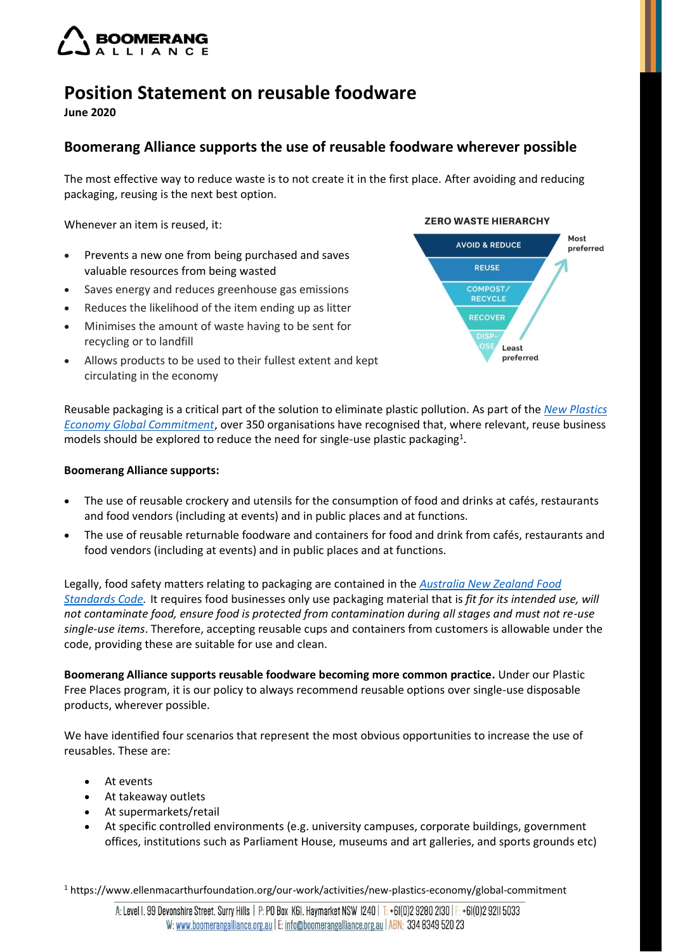

# **Position Statement on reusable foodware**

**June 2020**

## **Boomerang Alliance supports the use of reusable foodware wherever possible**

The most effective way to reduce waste is to not create it in the first place. After avoiding and reducing packaging, reusing is the next best option.

Whenever an item is reused, it:

- Prevents a new one from being purchased and saves valuable resources from being wasted
- Saves energy and reduces greenhouse gas emissions
- Reduces the likelihood of the item ending up as litter
- Minimises the amount of waste having to be sent for recycling or to landfill
- Allows products to be used to their fullest extent and kept circulating in the economy



Reusable packaging is a critical part of the solution to eliminate plastic pollution. As part of the *[New Plastics](https://www.ellenmacarthurfoundation.org/our-work/activities/new-plastics-economy/global-commitment)  [Economy Global Commitment](https://www.ellenmacarthurfoundation.org/our-work/activities/new-plastics-economy/global-commitment)*, over 350 organisations have recognised that, where relevant, reuse business models should be explored to reduce the need for single-use plastic packaging<sup>1</sup>.

#### **Boomerang Alliance supports:**

- The use of reusable crockery and utensils for the consumption of food and drinks at cafés, restaurants and food vendors (including at events) and in public places and at functions.
- The use of reusable returnable foodware and containers for food and drink from cafés, restaurants and food vendors (including at events) and in public places and at functions.

Legally, food safety matters relating to packaging are contained in the *[Australia New Zealand Food](https://www.foodstandards.gov.au/code)  [Standards Code.](https://www.foodstandards.gov.au/code)* It requires food businesses only use packaging material that is *fit for its intended use, will not contaminate food, ensure food is protected from contamination during all stages and must not re-use single-use items*. Therefore, accepting reusable cups and containers from customers is allowable under the code, providing these are suitable for use and clean.

**Boomerang Alliance supports reusable foodware becoming more common practice.** Under our Plastic Free Places program, it is our policy to always recommend reusable options over single-use disposable products, wherever possible.

We have identified four scenarios that represent the most obvious opportunities to increase the use of reusables. These are:

- At events
- At takeaway outlets
- At supermarkets/retail
- At specific controlled environments (e.g. university campuses, corporate buildings, government offices, institutions such as Parliament House, museums and art galleries, and sports grounds etc)

<sup>1</sup> https://www.ellenmacarthurfoundation.org/our-work/activities/new-plastics-economy/global-commitment